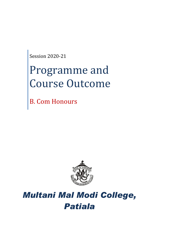Session 2020-21

# Programme and Course Outcome

B. Com Honours



# *Multani Mal Modi College, Patiala*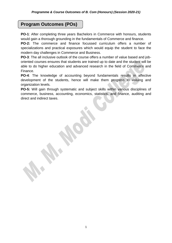# **Program Outcomes (POs)**

**PO-1**: After completing three years Bachelors in Commerce with honours, students would gain a thorough grounding in the fundamentals of Commerce and finance.

**PO-2:** The commerce and finance focussed curriculum offers a number of specializations and practical exposures which would equip the student to face the modern day challenges in Commerce and Business.

**PO-3**: The all inclusive outlook of the course offers a number of value based and joboriented courses ensures that students are trained up to date and the student will be able to do higher education and advanced research in the field of Commerce and Finance.

**PO-4**: The knowledge of accounting beyond fundamentals results in affective development of the students, hence will make them progress to valuing and organization levels.

**PO-5:** Will gain through systematic and subject skills within various disciplines of commerce, business, accounting, economics, statistics, and finance, auditing and direct and indirect taxes.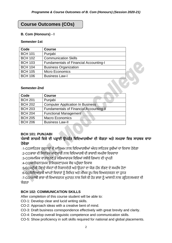# **Course Outcomes (COs)**

#### **B. Com (Honours) - I**

#### **Semester-1st**

| Code           | <b>Course</b>                                 |  |
|----------------|-----------------------------------------------|--|
| <b>BCH 101</b> | Punjabi                                       |  |
| <b>BCH 102</b> | <b>Communication Skills</b>                   |  |
| <b>BCH 103</b> | <b>Fundamentals of Financial Accounting-I</b> |  |
| <b>BCH 104</b> | <b>Business Organization</b>                  |  |
| <b>BCH 105</b> | <b>Micro Economics</b>                        |  |
| <b>BCH 106</b> | <b>Business Law-I</b>                         |  |

#### **Semester-2nd**

| Code           | <b>Course</b>                                  |
|----------------|------------------------------------------------|
| <b>BCH 201</b> | Punjabi                                        |
| <b>BCH 202</b> | <b>Computer Application In Business</b>        |
| <b>BCH 203</b> | <b>Fundamentals of Financial Accounting-II</b> |
| <b>BCH 204</b> | <b>Functional Management</b>                   |
| <b>BCH 205</b> | <b>Macro Economics</b>                         |
| <b>BCH 206</b> | <b>Business Law-II</b>                         |

#### **BCH 101: PUNJABI**

## **ਪੰਜਾਬੀ ਲਾਜ਼ਮੀ ਵਿਸ਼ੇਦੀ ਪੜ੍ਹਾਈ ਉਪਰੰਤ ਵਿਵਦਆਰਥੀਆਂ ਦੀ ਯੋਗਤਾ ਅਤੇਸਮਰਥਾ ਵਿਚ ਸਾਰਥਕ ਿਾਧਾ ਹੋਿੇਗਾ**

:1-COਸਾਹਿਤਕ ਰਚਨਾਵਾਂ ਦੇ ਮਾਧਿਅਮ ਨਾਲ ਵਿਦਿਆਰਥੀਆਂ ਅੰਦਰ ਸਾਹਿਤਕ ਰਚੀਆਂ ਦਾ ਵਿਕਾਸ ਹੋਵੇਗਾ

- :2-COਭਾਸ਼ਾ ਦੀ ਸਿਧਾਂਤਕ ਜਾਣਕਾਰੀ ਨਾਲ ਵਿਦਿਆਰਥੀ ਦੀ ਭਾਸ਼ਾਈ ਸਮਰੱਥਾ ਵਿਚਵਾਧਾ
- :3-COਸਮਾਜਿਕ ਵਾਤਾਵਰਣ ਤੇ ਸਭਿਆਚਾਰਕ ਵਿਸ਼ਿਆਂ ਸਬੰਧੀ ਗਿਆਨ ਦੀ ਪਾਪਤੀ
- :4-COਆਲੋਚਨਾਤਮਕ ਤੇ ਸਿਰਜਣਾਤਮਕ ਸੋਚ ਪਹੰਚਦਾ ਵਿਕਾਸ

:5-COਮਨੁੱਖੀ ਹੋਂਦ ਦੇ ਸੰਕਟਾਂ ਦੀ ਨਿਸ਼ਾਨਦੇਹੀ ਅਤੇ ਉਹਨਾਂ ਦਾ ਯੋਗ ਹੱਲ ਲੱਭਣ ਦੇ ਸਮਰੱਥ ਹੋਣਾ

:6-COਵਿਦਿਆਰਥੀ ਆਪਣੇ ਵਿਚਾਰਾਂ ਨੂੰ ਲਿਖਿਤ ਅਤੇ ਮੌਖਿਕ ਰੂਪ ਵਿਚ ਵਿਅਕਤਕਰਨ ਦਾ ਹਨਰ

:7-OCਪ੍ੰਜਾਬੀ ਭਾਸ਼ਾ ਦੀ ਹਵਆਕਰਨਕ ਮੁਿਾਰਤ ਨਾਲ ਹਕਸੇਵੀ ਿੋਰ ਭਾਸ਼ਾ ਨ ੰ ਆਸਾਨੀ ਨਾਲ ਗਰਹਿਣ/ਸਮਝਣ ਦੀ ਯੋਗਤਾ

#### **BCH 102: COMMUNICATION SKILLS**

After completion of this course student will be able to:

CO-1: Develop clear and lucid writing skills.

- CO-2: Approach ideas with a creative bent of mind.
- CO-3: Draft business correspondence effectively with great brevity and clarity.
- CO-4: Develop overall linguistic competence and communication skills.
- CO-5: Show proficiency in soft skills required for national and global placements.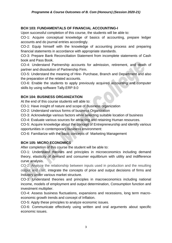#### **BCH 103: FUNDAMENTALS OF FINANCIAL ACCOUNTING-I**

Upon successful completion of this course, the students will be able to:

CO-1: Acquire conceptual knowledge of basics of accounting, prepare ledger accounts and do journal entries accordingly.

CO-2: Equip himself with the knowledge of accounting process and preparing financial statements in accordance with appropriate standards.

CO-3: Prepare Bank Reconciliation Statement from incomplete statements of Cash book and Pass Book.

CO-4: Understand Partnership accounts for admission, retirement, and death of partner and dissolution of Partnership Firm.

CO-5: Understand the meaning of Hire- Purchase, Branch and Department and also the preparation of the related accounts.

CO-6: Enable the students to apply previously acquired accounting and computer skills by using software Tally.ERP.9.0

#### **BCH 104: BUSINESS ORGANIZATION**

At the end of this course students will able to:

CO-1: Have insight of nature and scope of Business organization

CO-2: Understand various forms of business Organization

CO-3: Acknowledge various factors while selecting suitable location of business

CO-4: Evaluate various sources for attracting and retaining Human resources.

CO-5: Acquire knowledge about the concept of Entrepreneurship and identify various opportunities in contemporary business environment:

CO-6: Familiarize with the basic concepts of Marketing Management

#### **BCH 105: MICRO ECONOMICS**

After completion of this course the student will be able to:

CO-1: Understand theories and principles in microeconomics including demand theory, elasticity of demand and consumer equilibrium with utility and indifference curve analysis.

CO-2: Analyze the relationship between inputs used in production and the resulting output and cost, integrate the concepts of price and output decisions of firms and Industry under various market structure.

CO-3: Understand theories and principles in macroeconomics including national income, models of employment and output determination, Consumption function and investment multiplier.

CO-4: Assess business fluctuations, expansions and recessions, long term macroeconomic growth trends and concept of Inflation.

CO-5: Apply these principles to analyze economic issues.

CO-6: Communicate effectively using written and oral arguments about specific economic issues.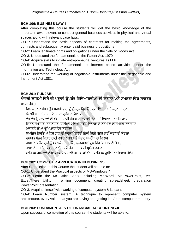#### **BCH 106: BUSINESS LAW-I**

After completing this course the students will get the basic knowledge of the important laws relevant to conduct general business activities in physical and virtual spaces along with relevant case laws.

CO-1: Understand the basic aspects of contracts for making the agreements, contracts and subsequently enter valid business propositions

CO-2: Learn legitimate rights and obligations under the Sale of Goods Act.

CO-3: Understand the fundamentals of the Patent Act, 1970

CO-4: Acquire skills to initiate entrepreneurial ventures as LLP.

CO-5: Understand the fundamentals of internet based activities under the information and Technology Act.

CO-6: Understand the working of negotiable instruments under the Negotiable and Instrument Act 1881.

#### **BCH 201: PUNJABI**

# **ਪੰਜਾਬੀ ਲਾਜ਼ਮੀ ਵਿਸ਼ੇਦੀ ਪੜ੍ਹਾਈ ਉਪਰੰਤ ਵਿਵਦਆਰਥੀਆਂ ਦੀ ਯੋਗਤਾ ਅਤੇਸਮਰਥਾ ਵਿਚ ਸਾਰਥਕ ਿਾਧਾ ਹੋਿੇਗਾ**

ਵਿਆਕਰਨਕ ਪੱਧਰ ਉੱਤੇ ਪੰਜਾਬੀ ਭਾਸ਼ਾ ਨੂੰ ਸ਼ੁੱਧਰੁਪ ਵਿਚ ਉਚਾਰਨ, ਲਿਖਣ ਅਤੇ ਪੜ੍ਹਨ ਦਾ ਹਨਰ ਪੰਜਾਬੀ ਭਾਸ਼ਾ ਦੇ ਸ਼ਬਦ ਨਿਰਮਾਣ ਪਬੰਧ ਦਾ ਗਿਆਨ

ਵੱਖ ਵੱਖ ਉਪਭਾਸ਼ਾਵਾਂ ਦੀ ਵੱਖਰਤਾ ਰਾਹੀਂ ਪੰਜਾਬ ਦੀ ਭਾਸ਼ਾਈ ਭਿੰਨਤਾ ਤੇ ਵਿਸ਼ਾਲਤਾ ਦਾ ਗਿਆਨ

ਵਿਭਿੰਨ ਸਮਾਜਿਕ, ਰਾਜਨੀਤਕ, ਧਾਰਮਿਕ ਮੱਦਿਆਂ ਸਬੰਧੀ ਵਿਚਾਰਾਂ ਦੇ ਨਿਰਮਾਣ ਦੀ ਸਮਰੱਥਾ ਵਿਚਵਾਧਾ ਮੁਕਾਬਲੇ ਦੀਆਂ ਪੀਖਿਆਵਾਂ ਵਿਚ ਸਹਾਇਕ

ਸਮਾਜਿਕ ਰਿਸ਼ਤਿਆਂ ਵਿਚ ਭਾਵਾਂ ਦੀ ਸਰਲ ਪੇਸ਼ਕਾਰੀ ਨਿਜੀ ਚਿੱਠੀ-ਪੱਤਰ ਰਾਹੀਂ ਕਰਨ ਦੀ ਯੋਗਤਾ

ਵਪਾਰਕ ਪੱਤਰ ਵਿਹਾਰ ਰਾਹੀਂ ਵਪਾਰਕ ਪੱਧਰ 'ਤੇ ਸੰਚਾਰ ਸਮਰੱਥਾ ਦਾ ਵਿਕਾਸ

ਭਾਸ਼ਾ ਦੇ ਵਿਭਿੰਨ ਰੂਪਾਂ ਨੂੰ ਸਮਝਕੇ ਸਮਾਜ ਵਿੱਚ ਪ੍ਰਭਾਵਸ਼ਾਲੀ ਰੂਪ ਵਿੱਚ ਵਿਚਰਨ ਦੀ ਯੋਗਤਾ

ਭਾਸ਼ਾ ਦੀ ਸਮਰੱਥਾ ਪ੍ਛਾਣ ਕੇਅੰਦਰਲੀ ਯੋਗਤਾ ਦਾ ਸਿੀ ਪ੍ਰਯੋਗ ਕਰਨਾ

ਸਾਹਿਤਕ ਰਚਨਾਵਾਂ ਦੇ ਮਾਧਿਅਮ ਨਾਲ ਵਿਦਿਆਰਥੀਆਂ ਅੰਦਰ ਸਾਹਿਤਕ ਰਚੀਆਂ ਦਾ ਵਿਕਾਸ ਹੋਵੇਗਾ

### **BCH 202: COMPUTER APPLICATION IN BUSINESS**

After Completion of this Course the student will be able to:-

CO-1: Understand the Practical aspects of MS-Windows 7

CO-2: Learn the MS-Office 2007 Including Ms-Word, Ms-PowerPoint, Ms-Excel.There Utility in writing document, creating spreadsheet, preparation PowerPoint presentation

CO-3: Acqaint himself with working of computer system & its parts

CO-4: Learn Number system. A technique to represent computer system architecture, every value that you are saving and getting into/from computer memory

#### **BCH 203: FUNDAMENTALS OF FINANCIAL ACCOUNTING-II**

Upon successful completion of this course, the students will be able to: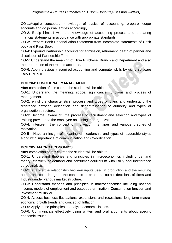#### *Programme & Course Outcomes of B. Com (Honours) (Session 2020-21)*

CO-1:Acquire conceptual knowledge of basics of accounting, prepare ledger accounts and do journal entries accordingly.

CO-2: Equip himself with the knowledge of accounting process and preparing financial statements in accordance with appropriate standards.

CO-3: Prepare Bank Reconciliation Statement from incomplete statements of Cash book and Pass Book.

CO-4: Expound Partnership accounts for admission, retirement, death of partner and dissolution of Partnership Firm.

CO-5: Understand the meaning of Hire- Purchase, Branch and Department and also the preparation of the related accounts.

CO-6: Apply previously acquired accounting and computer skills by using software Tally.ERP.9.0

#### **BCH 204: FUNCTIONAL MANAGEMENT**

After completion of this course the student will be able to:

CO-1: Understand the meaning, scope, significance, functions and process of management.

CO-2: enlist the characteristics, process and types of plans and understand the difference between delegation and decentralisation of authority and types of organization structure.

CO-3: Become aware of the process of recruitment and selection and types of training provided to the employee on joining the organization.

CO-4: Interpret the concept of motivation, its types and various theories of motivation

CO-5 : Have an insight of meaning of leadership and types of leadership styles along with importance of communication and Co-ordination.

#### **BCH 205: MACRO ECONOMICS**

After completion of this course the student will be able to:

CO-1: Understand theories and principles in microeconomics including demand theory, elasticity of demand and consumer equilibrium with utility and indifference curve analysis.

CO-2: Analyze the relationship between inputs used in production and the resulting output and cost, integrate the concepts of price and output decisions of firms and Industry under various market structure.

CO-3: Understand theories and principles in macroeconomics including national income, models of employment and output determination, Consumption function and investment multiplier.

CO-4: Assess business fluctuations, expansions and recessions, long term macroeconomic growth trends and concept of Inflation.

CO-5: Apply these principles to analyze economic issues.

CO-6: Communicate effectively using written and oral arguments about specific economic issues.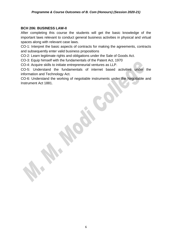#### **BCH 206: BUSINESS LAW-II**

After completing this course the students will get the basic knowledge of the important laws relevant to conduct general business activities in physical and virtual spaces along with relevant case laws.

CO-1: Interpret the basic aspects of contracts for making the agreements, contracts and subsequently enter valid business propositions

CO-2: Learn legitimate rights and obligations under the Sale of Goods Act.

CO-3: Equip himself with the fundamentals of the Patent Act, 1970

CO-4: Acquire skills to initiate entrepreneurial ventures as LLP.

CO-5: Understand the fundamentals of internet based activities under the information and Technology Act.

CO-6: Understand the working of negotiable instruments under the Negotiable and Instrument Act 1881.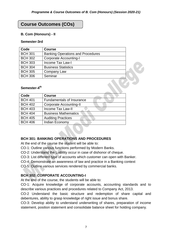# **Course Outcomes (COs)**

#### **B. Com (Honours) - II**

#### **Semester-3rd**

| Code           | <b>Course</b>                            |  |  |
|----------------|------------------------------------------|--|--|
| <b>BCH 301</b> | <b>Banking Operations and Procedures</b> |  |  |
| <b>BCH 302</b> | <b>Corporate Accounting-I</b>            |  |  |
| <b>BCH 303</b> | Income Tax Law-I                         |  |  |
| <b>BCH 304</b> | <b>Business Statistics</b>               |  |  |
| <b>BCH 305</b> | Company Law                              |  |  |
| <b>BCH 306</b> | Seminar                                  |  |  |

#### **Semester-4 th**

| Code           | <b>Course</b>                    |
|----------------|----------------------------------|
| <b>BCH 401</b> | <b>Fundamentals of Insurance</b> |
| <b>BCH 402</b> | <b>Corporate Accounting-II</b>   |
| <b>BCH 403</b> | <b>Income Tax Law-II</b>         |
| <b>BCH 404</b> | <b>Business Mathematics</b>      |
| <b>BCH 405</b> | <b>Auditing Practices</b>        |
| <b>BCH 406</b> | Indian Economy                   |

#### **BCH 301: BANKING OPERATIONS AND PROCEDURES**

At the end of the course the student will be able to:

CO-1: Outline various functions performed by Modern Banks.

CO-2: Understand the Liability occur in case of dishonor of cheque.

CO-3: List different type of accounts which customer can open with Banker.

CO-4: Demonstrate an awareness of law and practice in a Banking context

CO-5: Outline various services rendered by commercial banks.

#### **BCH 302: CORPORATE ACCOUNTING-I**

At the end of the course, the students will be able to:

CO-1: Acquire knowledge of corporate accounts, accounting standards and to describe various practices and procedures related to Company Act, 2013.

CO-2 Understand the basic structure and redemption of share capital and debentures, ability to grasp knowledge of right issue and bonus share.

CO-3: Develop ability to understand underwriting of shares, preparation of income statement, position statement and consolidate balance sheet for holding company.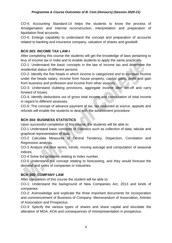CO-4: Accounting Standard-14 helps the students to know the process of Amalgamation and Internal reconstruction, interpretation and preparation of liquidation final accounts.

CO-5: Enlarge capability to understand the concept and preparation of accounts related to banking and insurance company, valuation of shares and goodwill.

#### **BCH 303: INCOME TAX LAW-I**

After completing this course the students will get the knowledge of laws pertaining to levy of income tax in India and to enable students to apply the same practically.

CO-1: Understand the basic concepts in the law of income tax and determine the residential status of different persons.

CO-2: Identify the five heads in which income is categorized and to compute income under the heads salary, income from house property, capital gains, profit and gain from business and profession and income from other sources.

CO-3: Understand clubbing provisions, aggregate income after set-off and carry forward of losses.

CO-4: Identify deductions out of gross total income and computation of total income in regard to different assesses.

CO-5: The concept of advance payment of tax, tax deducted at source, appeals and refunds will enable the students to deal with the assessment procedure.

#### **BCH 304: BUSINESS STATISTICS**

Upon successful completion of this course, the students will be able to:

CO-1 Understand basic concepts of Statistics such as collection of data, tabular and graphical representation of data.

CO-2 Calculate Measures of Central Tendency, Dispersion, Correlation and Regression analysis.

CO-3 Analyze the time series, trends, moving average and computation of seasonal indices.

CO-4 Solve the problems relating to Index number.

CO-5 Understand the concept relating to forecasting, and they would forecast the demand and sales of companies or industries.

#### **BCH 305: COMPANY LAW**

After completion of this course the student will be able to:

CO-1: Understand the background of New Companies Act, 2013 and kinds of companies.

CO-2: Acknowledge and explicate the three important documents for incorporation and commencement of Business of Company: Memorandum of Association, Articles of Association and Prospectus.

CO-3: Specify the various types of shares and share capital and elucidate the alteration of MOA, AOA and consequences of misrepresentation in prospectus.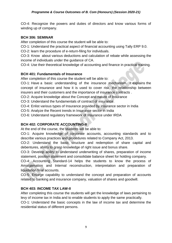CO-4: Recognize the powers and duties of directors and know various forms of winding up of company.

#### **BCH 306: SEMINAR**

After completion of this course the student will be able to:

CO-1: Understand the practical aspect of financial accounting using Tally ERP 9.0.

CO-2: learn the procedure of e-return-filing for individuals.

CO-3: Know about various deductions and calculation of rebate while assessing the income of individuals under the guidance of CA.

CO-4: Use their theoretical knowledge of accounting and finance in practical training.

#### **BCH 401: Fundamentals of Insurance**

After completion of this course the student will be able to:

CO-1: Have a basic understanding of the insurance mechanism. It explains the concept of insurance and how it is used to cover risk, the relationship between insurers and their customers and the importance of insurance contracts .

CO-2: Acquire knowledge about the Concept and nature of Insurance

CO-3: Understand the fundamentals of contract of insurance.

CO-4: Enlist various types of Insurance provided by insurance sector in India

CO-5: Analyze the Recent trends in Insurance sector in India

CO-6: Understand regulatory framework of Insurance under IRDA

#### **BCH 402: CORPORATE ACCOUNTING-II**

At the end of the course, the students will be able to:

CO-1: Acquire knowledge of corporate accounts, accounting standards and to describe various practices and procedures related to Company Act, 2013.

CO-2: Understand the basic structure and redemption of share capital and debentures, ability to grasp knowledge of right issue and bonus share.

CO-3: Develop ability to understand underwriting of shares, preparation of income statement, position statement and consolidate balance sheet for holding company.

CO-4: Accounting Standard-14 helps the students to know the process of Amalgamation and Internal reconstruction, interpretation and preparation of liquidation final accounts.

CO-5: Enlarge capability to understand the concept and preparation of accounts related to banking and insurance company, valuation of shares and goodwill.

#### **BCH 403: INCOME TAX LAW-II**

After completing this course the students will get the knowledge of laws pertaining to levy of income tax in India and to enable students to apply the same practically.

CO-1: Understand the basic concepts in the law of income tax and determine the residential status of different persons.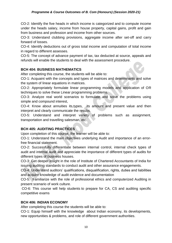#### *Programme & Course Outcomes of B. Com (Honours) (Session 2020-21)*

CO-2: Identify the five heads in which income is categorized and to compute income under the heads salary, income from house property, capital gains, profit and gain from business and profession and income from other sources.

CO-3: Understand clubbing provisions, aggregate income after set-off and carry forward of losses.

CO-4: Identify deductions out of gross total income and computation of total income in regard to different assesses.

CO-5: The concept of advance payment of tax, tax deducted at source, appeals and refunds will enable the students to deal with the assessment procedure.

#### **BCH 404: BUSINESS MATHEMATICS**

After completing this course, the students will be able to:

CO-1: Acquaint with the concepts and types of matrices and determinants and solve the system of linear equations in matrices.

CO-2: Appropriately formulate linear programming models and application of OR techniques to solve these Linear programming problems.

CO-3: Analyze real world scenarios to formulate and solve the problems using simple and compound interest,

CO-4: Know about annuities its,types, its amount and present value and then interpret and clearly communicate the results.

CO-5: Understand and interpret variety of problems such as assignment, transportation and travelling salesman, etc.

#### **BCH 405: AUDITING PRACTICES**

Upon completion of this course, the learner will be able to:

CO-1: Understand the main objectives underlying Audit and importance of an errorfree financial statement.

CO-2: Successfully differentiate between internal control, internal check types of audit and internal audit and appreciate the importance of different types of audits for different types of business houses.

CO-3: Get deeper insight in the role of Institute of Chartered Accountants of India for issuing auditing standards to conduct audit and other assurance engagements.

CO-4: Understand auditors' qualifications, disqualification, rights, duties and liabilities and acquire knowledge of audit evidence and documentation

CO-5: Familiarize with the role of professional ethics and computerized Auditing in present scenario of work culture.

CO-6: This course will help students to prepare for CA, CS and auditing specific competitive exams

#### **BCH 406: INDIAN ECONOMY**

After completing this course the students will be able to:

CO-1: Equip himself with the knowledge about Indian economy, its developments, new opportunities & problems, and role of different government authorities.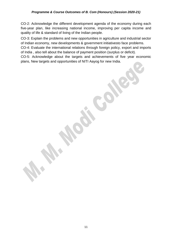CO-2: Acknowledge the different development agenda of the economy during each five-year plan, like increasing national income, improving per capita income and quality of life & standard of living of the Indian people.

CO-3: Explain the problems and new opportunities in agriculture and industrial sector of Indian economy, new developments & government initiativesto face problems.

CO-4: Evaluate the international relations through foreign policy, export and imports of India , also tell about the balance of payment position (surplus or deficit).

CO-5: Acknowledge about the targets and achievements of five year economic plans, New targets and opportunities of NITI Aayog for new India.

11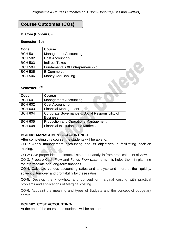# **Course Outcomes (COs)**

#### **B. Com (Honours) - III**

#### **Semester- 5th**

| Code           | <b>Course</b>                           |  |
|----------------|-----------------------------------------|--|
| <b>BCH 501</b> | <b>Management Accounting-I</b>          |  |
| <b>BCH 502</b> | <b>Cost Accounting-I</b>                |  |
| <b>BCH 503</b> | <b>Indirect Taxes</b>                   |  |
| <b>BCH 504</b> | <b>Fundamentals Of Entrepreneurship</b> |  |
| <b>BCH 505</b> | E-Commerce                              |  |
| <b>BCH 506</b> | <b>Money And Banking</b>                |  |

#### **Semester- 6 th**

| Code           | <b>Course</b>                                   |
|----------------|-------------------------------------------------|
| <b>BCH 601</b> | <b>Management Accounting-II</b>                 |
| <b>BCH 602</b> | <b>Cost Accounting-II</b>                       |
| <b>BCH 603</b> | <b>Financial Management</b>                     |
| <b>BCH 604</b> | Corporate Governance & Social Responsibility of |
|                | <b>Business</b>                                 |
| <b>BCH 605</b> | <b>Production and Operations Management</b>     |
| <b>BCH 608</b> | <b>Financial Institutions and Markets</b>       |

#### **BCH 501 MANAGEMENT ACCOUNTING-I**

After completing this course, the students will be able to:

CO-1: Apply management accounting and its objectives in facilitating decision making.

CO-2: Give proper idea on financial statement analysis from practical point of view.

CO-3: Prepare Cash Flow and Funds Flow statements this helps them in planning for intermediate and long-term finances.

CO-4: Calculate various accounting ratios and analyse and interpret the liquidity, solvency, turnover and profitability by these ratios.

CO-5: Develop the know-how and concept of marginal costing with practical problems and applications of Marginal costing.

CO-6: Acquaint the meaning and types of Budgets and the concept of budgetary control.

#### **BCH 502: COST ACCOUNTING-I**

At the end of the course, the students will be able to: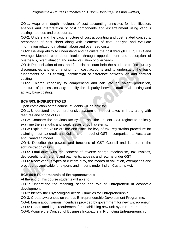CO-1: Acquire in depth indulgent of cost accounting principles for identification, analysis and interpretation of cost components and ascertainment using various costing methods and procedures.

CO-2: Understand the basic structure of cost accounting and cost related concepts, preparation of cost sheet along with elements of cost, analyse and evaluate information related to material, labour and overhead costs.

CO-3: Develop ability to understand and calculate the cost through FIFO, LIFO and Average Method, cost determination through apportionment and absorption of overheads, over valuation and under valuation of overheads.

CO-4: Reconciliation of cost and financial account help the students to find out any discrepancies and error arising from cost accounts and to understand the basic fundaments of unit costing, identification of difference between job and contract costing.

CO-5: Enlarge capability to comprehend and calculate equivalent production, structure of process costing; identify the disparity between traditional costing and activity base costing.

#### **BCH 503: INDIRECT TAXES**

Upon completion of the course, students will be able to:

CO-1: Understand the comprehensive system of indirect taxes in India along with features and scope of GST.

CO-2: Compare the previous tax system and the present GST regime to critically examine the strengths and weaknesses of both systems.

CO-3: Explain the value of time and place for levy of tax, registration procedure for claiming input tax credit and Kelkar shah model of GST in comparison to Australian and Canadian model.

CO-4: Describe the powers and functions of GST Council and its role in the administration of GST.

CO-5: Familiarize with the concept of reverse charge mechanism, tax invoices, debit/credit note, returns and payments, appeals and returns under GST.

CO-6: Know various types of custom duty, the modes of valuation, exemptions and procedures applicable for exports and imports under Indian Customs Act.

#### **BCH 504: Fundamentals of Entrepreneurship**

At the end of this course students will able to:

CO-1: Understand the meaning, scope and role of Entrepreneur in economic development.

CO-2: Identify the Psychological needs, Qualities for Entrepreneurship.

CO-3: Create awareness on various Entrepreneurship Development Programme.

CO-4: Learn about various Incentives provided by government for new Entrepreneur

CO-5: Understand legal requirement for establishing new unit by an Entrepreneur

CO-6: Acquire the Concept of Business Incubators in Promoting Entrepreneurship.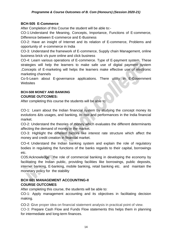#### **BCH-505 E-Commerce**

After Completion of this Course the student will be able to:-

CO-1:Understand the Meaning, Concepts, Importance, Functions of E-commerce, Difference between E-commerce and E-Business

CO-2: Have an insight of Internet and its relation of E-commerce, Problems and opportunity of e-commerce in India

CO-3: Understand the framework of E-commerce, Supply chain Management, online business brick v/s pure online and click business

CO-4: Learn various operations of E-commerce. Type of E-payment system, These strategies will help the learners to make safe use of digital payment system ,Concepts of E-marketing will helps the learners make effective use of electronic marketing channels

Co-5-Learn about E-governance applications. There utility in E-Government **Websites** 

#### **BCH-508 MONEY AND BANKING COURSE OUTCOMES:**

After completing this course the students will be able to:

CO-1: Learn about the Indian financial system by studying the concept money its evolutions &its usages, and banking, its role and performances in the India financial market.

CO-2: Understand the theories of money which evaluates the different determinants affecting the demand of money in the market.

CO-3: Highlight the different factors like interest rate structure which affect the money and credit creation in financial market.

CO-4: Understand the Indian banking system and explain the role of regulatory bodies in regulating the functions of the banks regards to their capital, borrowings etc.

CO5:Acknowledge the role of commercial banking in developing the economy by facilitating the Indian public, providing facilities like borrowings, public deposits, internet banking, E-banking, mobile banking, retail banking etc. and maintain the monetary policy for the stability

#### **BCH 601 MANAGEMENT ACCOUNTING-II COURSE OUTCOMES**

After completing this course, the students will be able to:

CO-1: Apply management accounting and its objectives in facilitating decision making.

CO-2: Give proper idea on financial statement analysis in practical point of view.

CO-3: Prepare Cash Flow and Funds Flow statements this helps them in planning for intermediate and long-term finances.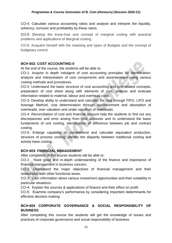CO-4: Calculate various accounting ratios and analyse and interpret the liquidity, solvency, turnover and profitability by these ratios.

CO-5: Develop the know-how and concept of marginal costing with practical problems and applications of Marginal costing.

CO-6: Acquaint himself with the meaning and types of Budgets and the concept of budgetary control.

#### **BCH 602: COST ACCOUNTING-II**

At the end of the course, the students will be able to:

CO-1: Acquire in depth indulgent of cost accounting principles for identification, analysis and interpretation of cost components and ascertainment using various costing methods and procedures.

CO-2: Understand the basic structure of cost accounting and cost related concepts, preparation of cost sheet along with elements of cost, analyse and evaluate information related to material, labour and overhead costs.

CO-3: Develop ability to understand and calculate the cost through FIFO, LIFO and Average Method, cost determination through apportionment and absorption of overheads, over valuation and under valuation of overheads.

CO-4: Reconciliation of cost and financial account help the students to find out any discrepancies and error arising from cost accounts and to understand the basic fundaments of unit costing, identification of difference between job and contract costing.

CO-5: Enlarge capability to comprehend and calculate equivalent production, structure of process costing; identify the disparity between traditional costing and activity base costing. .

#### **BCH 603: FINANCIAL MANAGEMENT**

After completion of this course students will be able to:

CO-1: Have good and in-depth understanding of the finance and importance of financial management in business concern.

CO-2: Understand the major objectives of financial management and their relationship with other functional areas.

CO-3: Gain information about various investment opportunities and their suitability in particular situations.

CO-4: Explain the sources & applications of finance and their effect on profit.

CO-5: Examine company's performance by considering important determinants for effective decision making.

#### **BCH-604 CORPORATE GOVERNANCE & SOCIAL RESPONSIBILITY OF BUSINESS**

After completing this course the students will get the knowledge of issues and practices of corporate governance and social responsibility of business